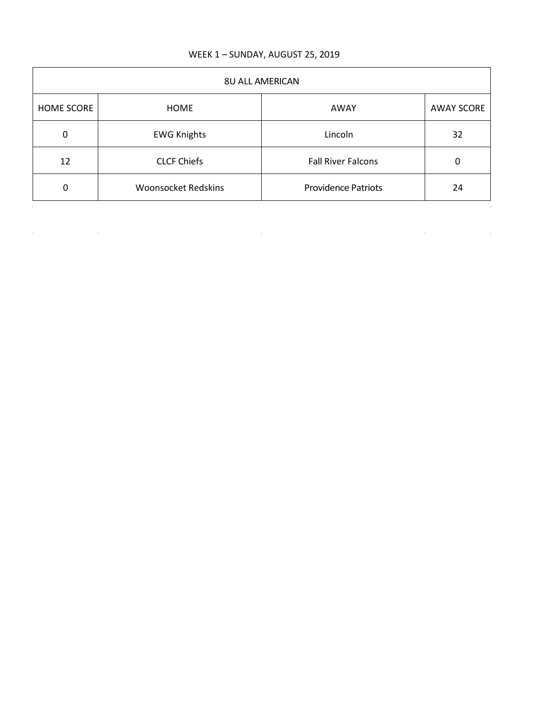## WEEK 1 – SUNDAY, AUGUST 25, 2019

| <b>8U ALL AMERICAN</b> |                            |                            |                   |
|------------------------|----------------------------|----------------------------|-------------------|
| <b>HOME SCORE</b>      | HOME                       | AWAY                       | <b>AWAY SCORE</b> |
| 0                      | <b>EWG Knights</b>         | Lincoln                    | 32                |
| 12                     | <b>CLCF Chiefs</b>         | <b>Fall River Falcons</b>  | 0                 |
| 0                      | <b>Woonsocket Redskins</b> | <b>Providence Patriots</b> | 24                |

 $\label{eq:2.1} \mathcal{L}(\mathcal{L}^{\text{max}}_{\mathcal{L}}(\mathcal{L}^{\text{max}}_{\mathcal{L}}),\mathcal{L}^{\text{max}}_{\mathcal{L}^{\text{max}}_{\mathcal{L}}(\mathcal{L}^{\text{max}}_{\mathcal{L}}))})$ 

 $\mathcal{L}^{\mathcal{L}}(\mathcal{L}^{\mathcal{L}})$  and  $\mathcal{L}^{\mathcal{L}}(\mathcal{L}^{\mathcal{L}})$  and  $\mathcal{L}^{\mathcal{L}}(\mathcal{L}^{\mathcal{L}})$  and  $\mathcal{L}^{\mathcal{L}}(\mathcal{L}^{\mathcal{L}})$ 

 $\label{eq:2.1} \frac{1}{2} \int_{\mathbb{R}^3} \left| \frac{1}{\sqrt{2}} \left( \frac{1}{\sqrt{2}} \right) \right| \, \mathrm{d} \mathcal{L} \, \mathrm{d} \mathcal{L} \, \mathrm{d} \mathcal{L} \, \mathrm{d} \mathcal{L} \, \mathrm{d} \mathcal{L} \, \mathrm{d} \mathcal{L} \, \mathrm{d} \mathcal{L} \, \mathrm{d} \mathcal{L} \, \mathrm{d} \mathcal{L} \, \mathrm{d} \mathcal{L} \, \mathrm{d} \mathcal{L} \, \mathrm{d} \mathcal{L} \, \mathrm$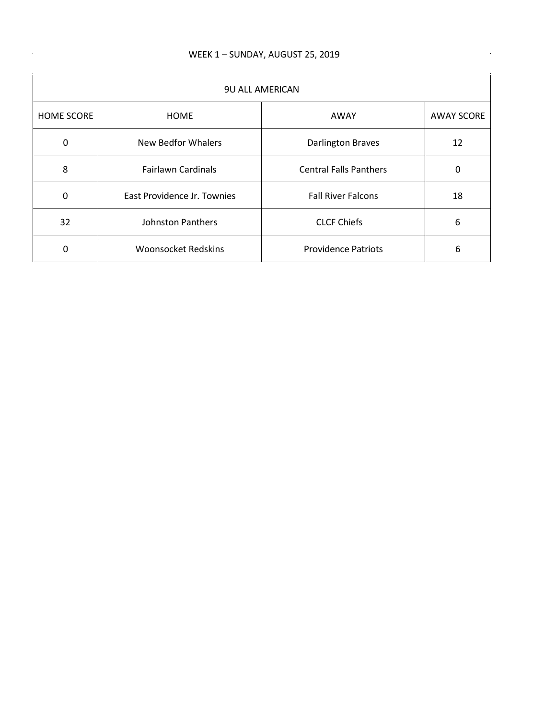$\sim$ 

 $\mathcal{A}(\mathcal{A})$  and  $\mathcal{A}(\mathcal{A})$  . In the  $\mathcal{A}(\mathcal{A})$ 

| <b>9U ALL AMERICAN</b> |                             |                               |                   |
|------------------------|-----------------------------|-------------------------------|-------------------|
| <b>HOME SCORE</b>      | <b>HOME</b>                 | AWAY                          | <b>AWAY SCORE</b> |
| 0                      | <b>New Bedfor Whalers</b>   | <b>Darlington Braves</b>      | 12                |
| 8                      | <b>Fairlawn Cardinals</b>   | <b>Central Falls Panthers</b> | 0                 |
| 0                      | East Providence Jr. Townies | <b>Fall River Falcons</b>     | 18                |
| 32                     | <b>Johnston Panthers</b>    | <b>CLCF Chiefs</b>            | 6                 |
| 0                      | <b>Woonsocket Redskins</b>  | <b>Providence Patriots</b>    | 6                 |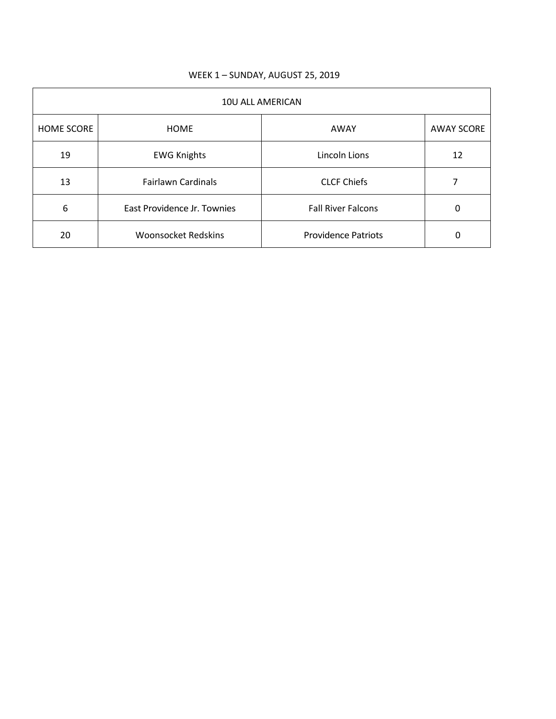| 10U ALL AMERICAN  |                             |                            |                   |
|-------------------|-----------------------------|----------------------------|-------------------|
| <b>HOME SCORE</b> | <b>HOME</b>                 | AWAY                       | <b>AWAY SCORE</b> |
| 19                | <b>EWG Knights</b>          | Lincoln Lions              | 12                |
| 13                | <b>Fairlawn Cardinals</b>   | <b>CLCF Chiefs</b>         |                   |
| 6                 | East Providence Jr. Townies | <b>Fall River Falcons</b>  | 0                 |
| 20                | <b>Woonsocket Redskins</b>  | <b>Providence Patriots</b> | 0                 |

## WEEK 1 – SUNDAY, AUGUST 25, 2019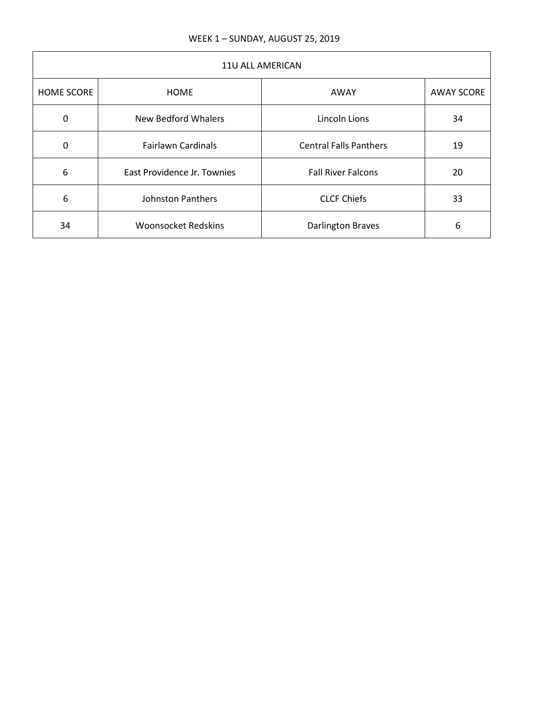| 11U ALL AMERICAN |                             |                               |                   |
|------------------|-----------------------------|-------------------------------|-------------------|
| HOME SCORE       | <b>HOME</b>                 | AWAY                          | <b>AWAY SCORE</b> |
| $\Omega$         | New Bedford Whalers         | Lincoln Lions                 | 34                |
| $\Omega$         | <b>Fairlawn Cardinals</b>   | <b>Central Falls Panthers</b> | 19                |
| 6                | East Providence Jr. Townies | <b>Fall River Falcons</b>     | 20                |
| 6                | <b>Johnston Panthers</b>    | <b>CLCF Chiefs</b>            | 33                |
| 34               | <b>Woonsocket Redskins</b>  | <b>Darlington Braves</b>      | 6                 |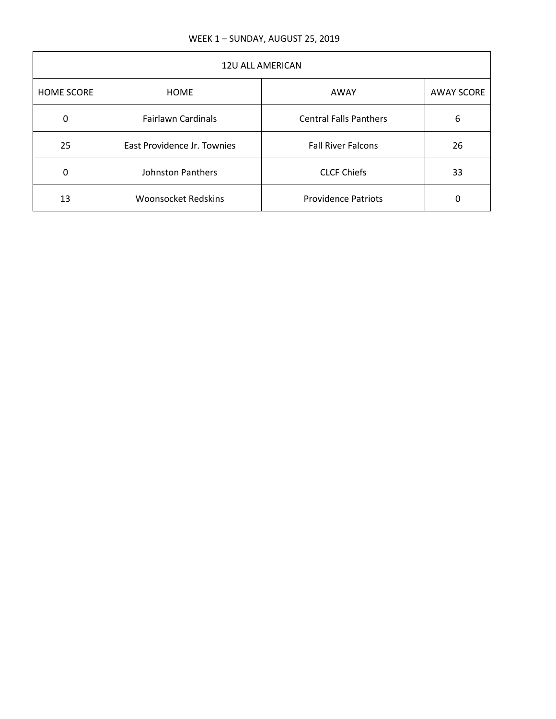| <b>12U ALL AMERICAN</b> |                             |                               |                   |
|-------------------------|-----------------------------|-------------------------------|-------------------|
| <b>HOME SCORE</b>       | <b>HOME</b>                 | AWAY                          | <b>AWAY SCORE</b> |
| 0                       | <b>Fairlawn Cardinals</b>   | <b>Central Falls Panthers</b> | 6                 |
| 25                      | East Providence Jr. Townies | <b>Fall River Falcons</b>     | 26                |
| 0                       | <b>Johnston Panthers</b>    | <b>CLCF Chiefs</b>            | 33                |
| 13                      | <b>Woonsocket Redskins</b>  | <b>Providence Patriots</b>    | 0                 |